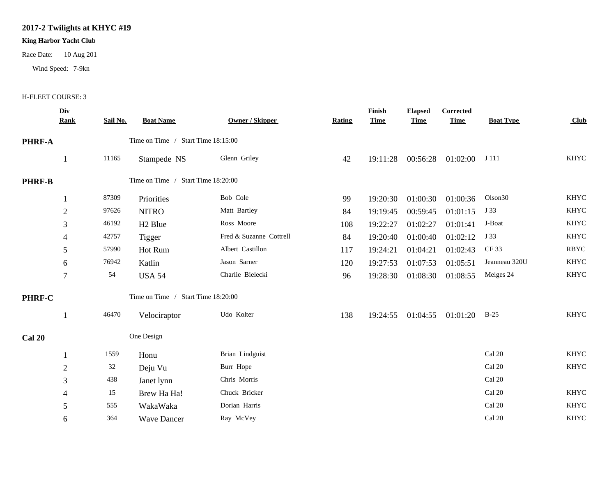## **2017-2 Twilights at KHYC #19**

## **King Harbor Yacht Club**

Race Date: 10 Aug 201

Wind Speed: 7-9kn

## H-FLEET COURSE: 3

|               | Div<br><u>Rank</u> | Sail No. | <b>Boat Name</b>                   | Owner / Skipper         | Rating | Finish<br><b>Time</b> | <b>Elapsed</b><br><b>Time</b> | Corrected<br><b>Time</b>   | <b>Boat Type</b>    | <b>Club</b> |
|---------------|--------------------|----------|------------------------------------|-------------------------|--------|-----------------------|-------------------------------|----------------------------|---------------------|-------------|
| PHRF-A        |                    |          | Time on Time / Start Time 18:15:00 |                         |        |                       |                               |                            |                     |             |
|               | 1                  | 11165    | Stampede NS                        | Glenn Griley            | 42     | 19:11:28              | 00:56:28                      | 01:02:00                   | J 111               | <b>KHYC</b> |
| <b>PHRF-B</b> |                    |          | Time on Time / Start Time 18:20:00 |                         |        |                       |                               |                            |                     |             |
|               |                    | 87309    | Priorities                         | Bob Cole                | 99     | 19:20:30              | 01:00:30                      | 01:00:36                   | Olson <sub>30</sub> | <b>KHYC</b> |
|               | $\overline{2}$     | 97626    | <b>NITRO</b>                       | Matt Bartley            | 84     | 19:19:45              | 00:59:45                      | 01:01:15                   | J 33                | <b>KHYC</b> |
|               | 3                  | 46192    | H <sub>2</sub> Blue                | Ross Moore              | 108    | 19:22:27              | 01:02:27                      | 01:01:41                   | J-Boat              | <b>KHYC</b> |
|               | 4                  | 42757    | Tigger                             | Fred & Suzanne Cottrell | 84     | 19:20:40              | 01:00:40                      | 01:02:12                   | J 33                | <b>KHYC</b> |
|               | 5                  | 57990    | Hot Rum                            | Albert Castillon        | 117    | 19:24:21              | 01:04:21                      | 01:02:43                   | CF 33               | <b>RBYC</b> |
|               | 6                  | 76942    | Katlin                             | Jason Sarner            | 120    | 19:27:53              | 01:07:53                      | 01:05:51                   | Jeanneau 320U       | <b>KHYC</b> |
|               | $\tau$             | 54       | <b>USA 54</b>                      | Charlie Bielecki        | 96     | 19:28:30              | 01:08:30                      | 01:08:55                   | Melges 24           | <b>KHYC</b> |
| PHRF-C        |                    |          | Time on Time / Start Time 18:20:00 |                         |        |                       |                               |                            |                     |             |
|               |                    | 46470    | Velociraptor                       | Udo Kolter              | 138    |                       |                               | 19:24:55 01:04:55 01:01:20 | $B-25$              | <b>KHYC</b> |
| <b>Cal 20</b> |                    |          | One Design                         |                         |        |                       |                               |                            |                     |             |
|               |                    | 1559     | Honu                               | Brian Lindguist         |        |                       |                               |                            | Cal 20              | <b>KHYC</b> |
|               | $\mathfrak{2}$     | 32       | Deju Vu                            | Burr Hope               |        |                       |                               |                            | Cal 20              | <b>KHYC</b> |
|               | 3                  | 438      | Janet lynn                         | Chris Morris            |        |                       |                               |                            | Cal 20              |             |
|               | 4                  | 15       | Brew Ha Ha!                        | Chuck Bricker           |        |                       |                               |                            | Cal 20              | <b>KHYC</b> |
|               | 5                  | 555      | WakaWaka                           | Dorian Harris           |        |                       |                               |                            | Cal 20              | <b>KHYC</b> |
|               | 6                  | 364      | <b>Wave Dancer</b>                 | Ray McVey               |        |                       |                               |                            | Cal 20              | <b>KHYC</b> |